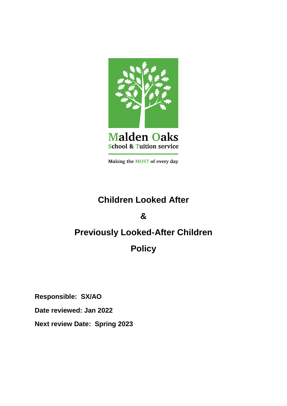

Making the MOST of every day

# **Children Looked After**

**&** 

# **Previously Looked-After Children**

**Policy**

**Responsible: SX/AO**

**Date reviewed: Jan 2022**

**Next review Date: Spring 2023**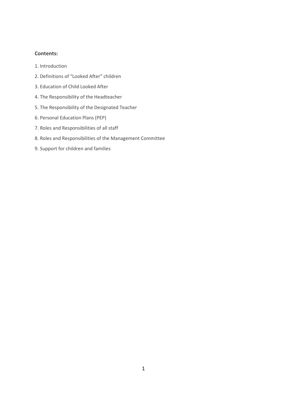# **Contents:**

- 1. Introduction
- 2. Definitions of "Looked After" children
- 3. Education of Child Looked After
- 4. The Responsibility of the Headteacher
- 5. The Responsibility of the Designated Teacher
- 6. Personal Education Plans (PEP)
- 7. Roles and Responsibilities of all staff
- 8. Roles and Responsibilities of the Management Committee
- 9. Support for children and families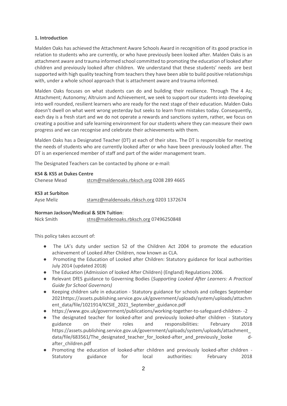# **1. Introduction**

Malden Oaks has achieved the Attachment Aware Schools Award in recognition of its good practice in relation to students who are currently, or who have previously been looked after. Malden Oaks is an attachment aware and trauma informed school committed to promoting the education of looked after children and previously looked after children. We understand that these students' needs are best supported with high quality teaching from teachers they have been able to build positive relationships with, under a whole school approach that is attachment aware and trauma informed.

Malden Oaks focuses on what students can do and building their resilience. Through The 4 As; Attachment; Autonomy; Altruism and Achievement, we seek to support our students into developing into well rounded, resilient learners who are ready for the next stage of their education. Malden Oaks doesn't dwell on what went wrong yesterday but seeks to learn from mistakes today. Consequently, each day is a fresh start and we do not operate a rewards and sanctions system, rather, we focus on creating a positive and safe learning environment for our students where they can measure their own progress and we can recognise and celebrate their achievements with them.

Malden Oaks has a Designated Teacher (DT) at each of their sites. The DT is responsible for meeting the needs of students who are currently looked after or who have been previously looked after. The DT is an experienced member of staff and part of the wider management team.

The Designated Teachers can be contacted by phone or e-mail:

# **KS4 & KS5 at Dukes Centre**

Chenese Mead [stcm@maldenoaks.rbksch.org](mailto:stcm@maldenoaks.rbksch.org) 0208 289 4665

# **KS3 at Surbiton**

Ayse Meliz [stamz@maldenoaks.rbksch.org](mailto:stamz@maldenoaks.rbksch.org) 0203 1372674

# **Norman Jackson/Medical & SEN Tuition**:

Nick Smith [stns@maldenoaks.rbksch.org](mailto:stns@maldenoaks.rbksch.org) 07496250848

This policy takes account of:

- The LA's duty under section 52 of the Children Act 2004 to promote the education achievement of Looked After Children, now known as CLA.
- Promoting the Education of Looked after Children: Statutory guidance for local authorities July 2014 (updated 2018)
- The Education (Admission of looked After Children) (England) Regulations 2006.
- Relevant DfES guidance to Governing Bodies (*Supporting Looked After Learners: A Practical Guide for School Governors)*
- Keeping children safe in education Statutory guidance for schools and colleges September 2021https://assets.publishing.service.gov.uk/government/uploads/system/uploads/attachm ent\_data/file/1021914/KCSIE\_2021\_September\_guidance.pdf
- https://www.gov.uk/government/publications/working-together-to-safeguard-children- -2
- The designated teacher for looked-after and previously looked-after children Statutory guidance on their roles and responsibilities: February 2018 https://assets.publishing.service.gov.uk/government/uploads/system/uploads/attachment\_ data/file/683561/The designated teacher for looked-after and previously looke dafter\_children.pdf
- Promoting the education of looked-after children and previously looked-after children -Statutory guidance for local authorities: February 2018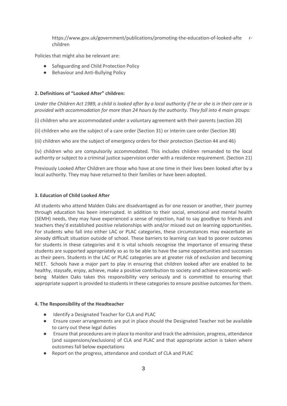https://www.gov.uk/government/publications/promoting-the-education-of-looked-afte rchildren

Policies that might also be relevant are:

- Safeguarding and Child Protection Policy
- Behaviour and Anti-Bullying Policy

#### **2. Definitions of "Looked After" children:**

*Under the Children Act 1989, a child is looked after by a local authority if he or she is in their care or is provided with accommodation for more than 24 hours by the authority. They fall into 4 main groups:* 

(i) children who are accommodated under a voluntary agreement with their parents (section 20)

(ii) children who are the subject of a care order (Section 31) or interim care order (Section 38)

(iii) children who are the subject of emergency orders for their protection (Section 44 and 46)

(iv) children who are compulsorily accommodated. This includes children remanded to the local authority or subject to a criminal justice supervision order with a residence requirement. (Section 21)

Previously Looked After Children are those who have at one time in their lives been looked after by a local authority. They may have returned to their families or have been adopted.

#### **3. Education of Child Looked After**

All students who attend Malden Oaks are disadvantaged as for one reason or another, their journey through education has been interrupted. In addition to their social, emotional and mental health (SEMH) needs, they may have experienced a sense of rejection, had to say goodbye to friends and teachers they'd established positive relationships with and/or missed out on learning opportunities. For students who fall into either LAC or PLAC categories, these circumstances may exacerbate an already difficult situation outside of school. These barriers to learning can lead to poorer outcomes for students in these categories and it is vital schools recognise the importance of ensuring these students are supported appropriately so as to be able to have the same opportunities and successes as their peers. Students in the LAC or PLAC categories are at greater risk of exclusion and becoming NEET. Schools have a major part to play in ensuring that children looked after are enabled to be healthy, staysafe, enjoy, achieve, make a positive contribution to society and achieve economic wellbeing Malden Oaks takes this responsibility very seriously and is committed to ensuring that appropriate support is provided to students in these categories to ensure positive outcomes for them.

#### **4. The Responsibility of the Headteacher**

- Identify a Designated Teacher for CLA and PLAC
- Ensure cover arrangements are put in place should the Designated Teacher not be available to carry out these legal duties
- Ensure that procedures are in place to monitor and track the admission, progress, attendance (and suspensions/exclusions) of CLA and PLAC and that appropriate action is taken where outcomes fall below expectations
- Report on the progress, attendance and conduct of CLA and PLAC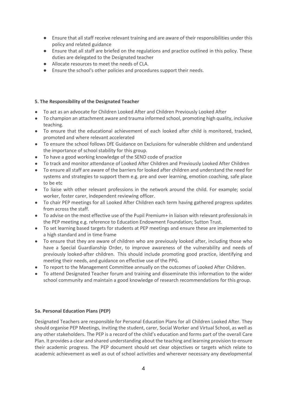- Ensure that all staff receive relevant training and are aware of their responsibilities under this policy and related guidance
- Ensure that all staff are briefed on the regulations and practice outlined in this policy. These duties are delegated to the Designated teacher
- Allocate resources to meet the needs of CLA.
- Ensure the school's other policies and procedures support their needs.

# **5. The Responsibility of the Designated Teacher**

- To act as an advocate for Children Looked After and Children Previously Looked After
- To champion an attachment aware and trauma informed school, promoting high quality, inclusive teaching.
- To ensure that the educational achievement of each looked after child is monitored, tracked, promoted and where relevant accelerated
- To ensure the school follows DfE Guidance on Exclusions for vulnerable children and understand the importance of school stability for this group.
- To have a good working knowledge of the SEND code of practice
- To track and monitor attendance of Looked After Children and Previously Looked After Children
- To ensure all staff are aware of the barriers for looked after children and understand the need for systems and strategies to support them e.g. pre and over learning, emotion coaching, safe place to be etc
- To liaise with other relevant professions in the network around the child. For example; social worker, foster carer, independent reviewing officer.
- To chair PEP meetings for all Looked After Children each term having gathered progress updates from across the staff.
- To advise on the most effective use of the Pupil Premium+ in liaison with relevant professionals in the PEP meeting e.g. reference to Education Endowment Foundation; Sutton Trust.
- To set learning based targets for students at PEP meetings and ensure these are implemented to a high standard and in time frame
- To ensure that they are aware of children who are previously looked after, including those who have a Special Guardianship Order, to improve awareness of the vulnerability and needs of previously looked-after children. This should include promoting good practice, identifying and meeting their needs, and guidance on effective use of the PPG.
- To report to the Management Committee annually on the outcomes of Looked After Children.
- To attend Designated Teacher forum and training and disseminate this information to the wider school community and maintain a good knowledge of research recommendations for this group.

# **5a. Personal Education Plans (PEP)**

Designated Teachers are responsible for Personal Education Plans for all Children Looked After. They should organise PEP Meetings, inviting the student, carer, Social Worker and Virtual School, as well as any other stakeholders. The PEP is a record of the child's education and forms part of the overall Care Plan. It provides a clear and shared understanding about the teaching and learning provision to ensure their academic progress. The PEP document should set clear objectives or targets which relate to academic achievement as well as out of school activities and wherever necessary any developmental